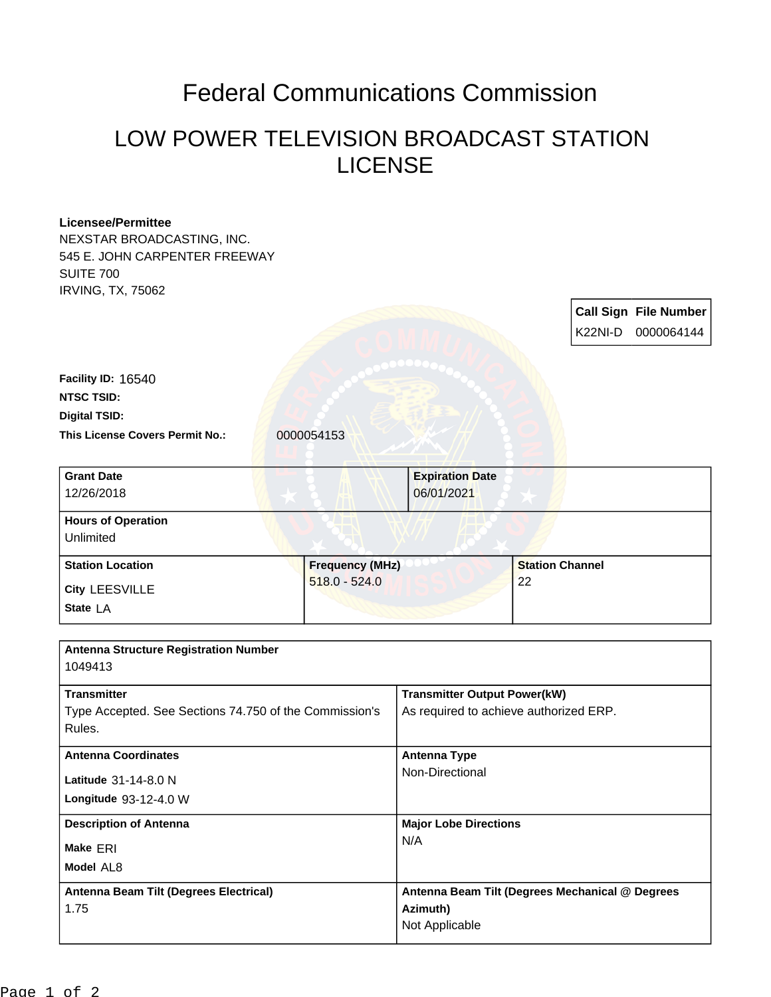## Federal Communications Commission

## LOW POWER TELEVISION BROADCAST STATION LICENSE

| <b>Licensee/Permittee</b>                              |                        |                                        |                        |                                                 |
|--------------------------------------------------------|------------------------|----------------------------------------|------------------------|-------------------------------------------------|
| NEXSTAR BROADCASTING, INC.                             |                        |                                        |                        |                                                 |
| 545 E. JOHN CARPENTER FREEWAY                          |                        |                                        |                        |                                                 |
| <b>SUITE 700</b>                                       |                        |                                        |                        |                                                 |
| <b>IRVING, TX, 75062</b>                               |                        |                                        |                        |                                                 |
|                                                        |                        |                                        |                        | <b>Call Sign File Number</b>                    |
|                                                        |                        |                                        |                        |                                                 |
|                                                        |                        |                                        |                        | K22NI-D<br>0000064144                           |
|                                                        |                        |                                        |                        |                                                 |
| Facility ID: 16540                                     |                        |                                        |                        |                                                 |
| <b>NTSC TSID:</b>                                      |                        |                                        |                        |                                                 |
|                                                        |                        |                                        |                        |                                                 |
| <b>Digital TSID:</b>                                   |                        |                                        |                        |                                                 |
| This License Covers Permit No.:                        | 0000054153             |                                        |                        |                                                 |
|                                                        |                        |                                        |                        |                                                 |
| <b>Grant Date</b>                                      |                        | <b>Expiration Date</b>                 |                        |                                                 |
| 12/26/2018                                             |                        | 06/01/2021                             |                        |                                                 |
|                                                        |                        |                                        |                        |                                                 |
| <b>Hours of Operation</b>                              |                        |                                        |                        |                                                 |
| Unlimited                                              |                        |                                        |                        |                                                 |
|                                                        |                        |                                        |                        |                                                 |
| <b>Station Location</b>                                | <b>Frequency (MHz)</b> |                                        | <b>Station Channel</b> |                                                 |
| <b>City LEESVILLE</b>                                  | $518.0 - 524.0$        |                                        | 22                     |                                                 |
|                                                        |                        |                                        |                        |                                                 |
|                                                        |                        |                                        |                        |                                                 |
| State LA                                               |                        |                                        |                        |                                                 |
|                                                        |                        |                                        |                        |                                                 |
| <b>Antenna Structure Registration Number</b>           |                        |                                        |                        |                                                 |
| 1049413                                                |                        |                                        |                        |                                                 |
|                                                        |                        |                                        |                        |                                                 |
| <b>Transmitter</b>                                     |                        | <b>Transmitter Output Power(kW)</b>    |                        |                                                 |
| Type Accepted. See Sections 74.750 of the Commission's |                        | As required to achieve authorized ERP. |                        |                                                 |
| Rules.                                                 |                        |                                        |                        |                                                 |
| <b>Antenna Coordinates</b>                             |                        | <b>Antenna Type</b>                    |                        |                                                 |
|                                                        |                        | Non-Directional                        |                        |                                                 |
| Latitude 31-14-8.0 N                                   |                        |                                        |                        |                                                 |
| Longitude 93-12-4.0 W                                  |                        |                                        |                        |                                                 |
|                                                        |                        |                                        |                        |                                                 |
| <b>Description of Antenna</b>                          |                        | <b>Major Lobe Directions</b>           |                        |                                                 |
| Make ERI                                               |                        | N/A                                    |                        |                                                 |
| Model AL8                                              |                        |                                        |                        |                                                 |
|                                                        |                        |                                        |                        |                                                 |
| <b>Antenna Beam Tilt (Degrees Electrical)</b>          |                        |                                        |                        | Antenna Beam Tilt (Degrees Mechanical @ Degrees |
| 1.75                                                   |                        | Azimuth)<br>Not Applicable             |                        |                                                 |